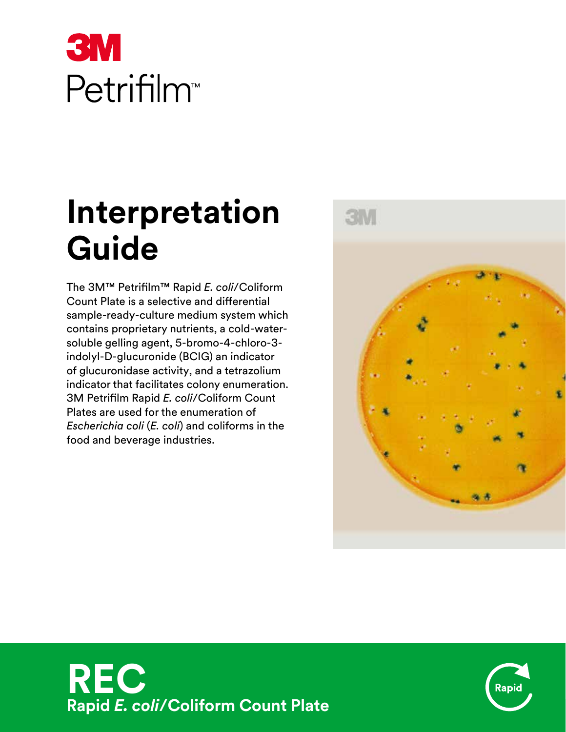# **3M** Petrifilm<sup>™</sup>

# **Interpretation Guide**

The 3M™ Petrifilm™ Rapid *E. coli*/Coliform Count Plate is a selective and differential sample-ready-culture medium system which contains proprietary nutrients, a cold-watersoluble gelling agent, 5-bromo-4-chloro-3 indolyl-D-glucuronide (BCIG) an indicator of glucuronidase activity, and a tetrazolium indicator that facilitates colony enumeration. 3M Petrifilm Rapid *E. coli*/Coliform Count Plates are used for the enumeration of *Escherichia coli* (*E. coli*) and coliforms in the food and beverage industries.





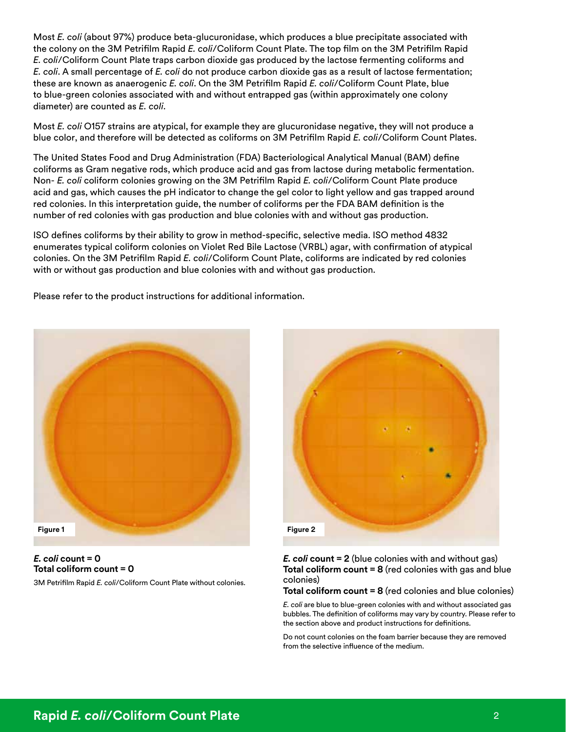Most *E. coli* (about 97%) produce beta-glucuronidase, which produces a blue precipitate associated with the colony on the 3M Petrifilm Rapid *E. coli*/Coliform Count Plate. The top film on the 3M Petrifilm Rapid *E. coli*/Coliform Count Plate traps carbon dioxide gas produced by the lactose fermenting coliforms and *E. coli*. A small percentage of *E. coli* do not produce carbon dioxide gas as a result of lactose fermentation; these are known as anaerogenic *E. coli*. On the 3M Petrifilm Rapid *E. coli*/Coliform Count Plate, blue to blue-green colonies associated with and without entrapped gas (within approximately one colony diameter) are counted as *E. coli*.

Most *E. coli* O157 strains are atypical, for example they are glucuronidase negative, they will not produce a blue color, and therefore will be detected as coliforms on 3M Petrifilm Rapid *E. coli*/Coliform Count Plates.

The United States Food and Drug Administration (FDA) Bacteriological Analytical Manual (BAM) define coliforms as Gram negative rods, which produce acid and gas from lactose during metabolic fermentation. Non- *E. coli* coliform colonies growing on the 3M Petrifilm Rapid *E. coli*/Coliform Count Plate produce acid and gas, which causes the pH indicator to change the gel color to light yellow and gas trapped around red colonies. In this interpretation guide, the number of coliforms per the FDA BAM definition is the number of red colonies with gas production and blue colonies with and without gas production.

ISO defines coliforms by their ability to grow in method-specific, selective media. ISO method 4832 enumerates typical coliform colonies on Violet Red Bile Lactose (VRBL) agar, with confirmation of atypical colonies. On the 3M Petrifilm Rapid *E. coli*/Coliform Count Plate, coliforms are indicated by red colonies with or without gas production and blue colonies with and without gas production.

Please refer to the product instructions for additional information.



*E. coli* **count = 0 Total coliform count = 0**

3M Petrifilm Rapid *E. coli*/Coliform Count Plate without colonies.



*E. coli* **count = 2** (blue colonies with and without gas) **Total coliform count = 8** (red colonies with gas and blue colonies)

**Total coliform count = 8** (red colonies and blue colonies)

*E. coli* are blue to blue-green colonies with and without associated gas bubbles. The definition of coliforms may vary by country. Please refer to the section above and product instructions for definitions.

Do not count colonies on the foam barrier because they are removed from the selective influence of the medium.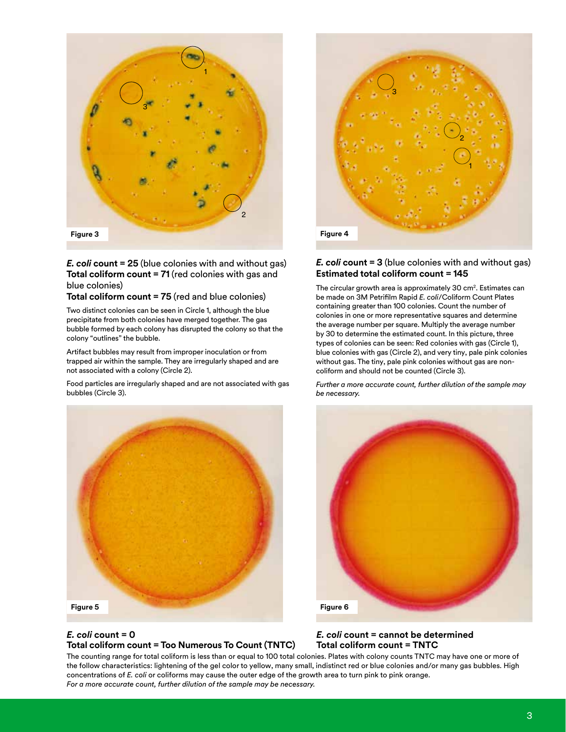

#### *E. coli* **count = 25** (blue colonies with and without gas) **Total coliform count = 71** (red colonies with gas and blue colonies)

#### **Total coliform count = 75** (red and blue colonies)

Two distinct colonies can be seen in Circle 1, although the blue precipitate from both colonies have merged together. The gas bubble formed by each colony has disrupted the colony so that the colony "outlines" the bubble.

Artifact bubbles may result from improper inoculation or from trapped air within the sample. They are irregularly shaped and are not associated with a colony (Circle 2).

Food particles are irregularly shaped and are not associated with gas bubbles (Circle 3).



#### *E. coli* **count = 0 Total coliform count = Too Numerous To Count (TNTC)**



#### *E. coli* **count = 3** (blue colonies with and without gas) **Estimated total coliform count = 145**

The circular growth area is approximately 30 cm<sup>2</sup>. Estimates can be made on 3M Petrifilm Rapid *E. coli*/Coliform Count Plates containing greater than 100 colonies. Count the number of colonies in one or more representative squares and determine the average number per square. Multiply the average number by 30 to determine the estimated count. In this picture, three types of colonies can be seen: Red colonies with gas (Circle 1), blue colonies with gas (Circle 2), and very tiny, pale pink colonies without gas. The tiny, pale pink colonies without gas are noncoliform and should not be counted (Circle 3).

*Further a more accurate count, further dilution of the sample may be necessary.*



#### *E. coli* **count = cannot be determined Total coliform count = TNTC**

The counting range for total coliform is less than or equal to 100 total colonies. Plates with colony counts TNTC may have one or more of the follow characteristics: lightening of the gel color to yellow, many small, indistinct red or blue colonies and/or many gas bubbles. High concentrations of *E. coli* or coliforms may cause the outer edge of the growth area to turn pink to pink orange. *For a more accurate count, further dilution of the sample may be necessary.*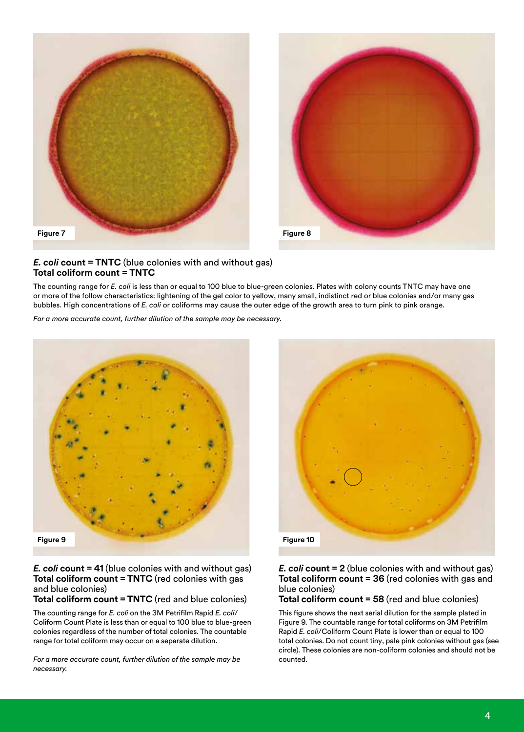



#### *E. coli* **count = TNTC** (blue colonies with and without gas) **Total coliform count = TNTC**

The counting range for *E. coli* is less than or equal to 100 blue to blue-green colonies. Plates with colony counts TNTC may have one or more of the follow characteristics: lightening of the gel color to yellow, many small, indistinct red or blue colonies and/or many gas bubbles. High concentrations of *E. coli* or coliforms may cause the outer edge of the growth area to turn pink to pink orange.

*For a more accurate count, further dilution of the sample may be necessary.*



*E. coli* **count = 41** (blue colonies with and without gas) **Total coliform count = TNTC** (red colonies with gas and blue colonies)

**Total coliform count = TNTC** (red and blue colonies)

The counting range for *E. coli* on the 3M Petrifilm Rapid *E. coli*/ Coliform Count Plate is less than or equal to 100 blue to blue-green colonies regardless of the number of total colonies. The countable range for total coliform may occur on a separate dilution.

*For a more accurate count, further dilution of the sample may be necessary.*



#### *E. coli* **count = 2** (blue colonies with and without gas) **Total coliform count = 36** (red colonies with gas and blue colonies)

#### **Total coliform count = 58** (red and blue colonies)

This figure shows the next serial dilution for the sample plated in Figure 9. The countable range for total coliforms on 3M Petrifilm Rapid *E. coli*/Coliform Count Plate is lower than or equal to 100 total colonies. Do not count tiny, pale pink colonies without gas (see circle). These colonies are non-coliform colonies and should not be counted.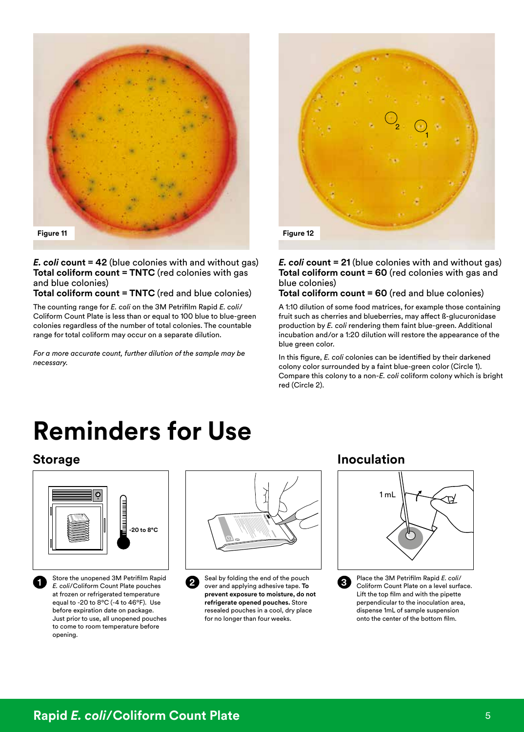

#### *E. coli* **count = 42** (blue colonies with and without gas) **Total coliform count = TNTC** (red colonies with gas and blue colonies)

**Total coliform count = TNTC** (red and blue colonies)

The counting range for *E. coli* on the 3M Petrifilm Rapid *E. coli*/ Coliform Count Plate is less than or equal to 100 blue to blue-green colonies regardless of the number of total colonies. The countable range for total coliform may occur on a separate dilution.

*For a more accurate count, further dilution of the sample may be necessary.*



#### *E. coli* **count = 21** (blue colonies with and without gas) **Total coliform count = 60** (red colonies with gas and blue colonies)

#### **Total coliform count = 60** (red and blue colonies)

A 1:10 dilution of some food matrices, for example those containing fruit such as cherries and blueberries, may affect ß-glucuronidase production by *E. coli* rendering them faint blue-green. Additional incubation and/or a 1:20 dilution will restore the appearance of the blue green color.

In this figure, *E. coli* colonies can be identified by their darkened colony color surrounded by a faint blue-green color (Circle 1). Compare this colony to a non-*E. coli* coliform colony which is bright red (Circle 2).

# **Reminders for Use**



**1** Store the unopened 3M Petrifilm Rapid *E. coli*/Coliform Count Plate pouches at frozen or refrigerated temperature equal to -20 to 8ºC (-4 to 46ºF). Use before expiration date on package. Just prior to use, all unopened pouches to come to room temperature before opening.



**2** Seal by folding the end of the pouch over and applying adhesive tape. **To prevent exposure to moisture, do not refrigerate opened pouches.** Store resealed pouches in a cool, dry place for no longer than four weeks.

### **Storage and Contract Contract Contract Contract Contract Contract Contract Contract Contract Contract Contract Contract Contract Contract Contract Contract Contract Contract Contract Contract Contract Contract Contract Co**



**3** Place the 3M Petrifilm Rapid *E. coli*/ Coliform Count Plate on a level surface. Lift the top film and with the pipette perpendicular to the inoculation area, dispense 1mL of sample suspension onto the center of the bottom film.